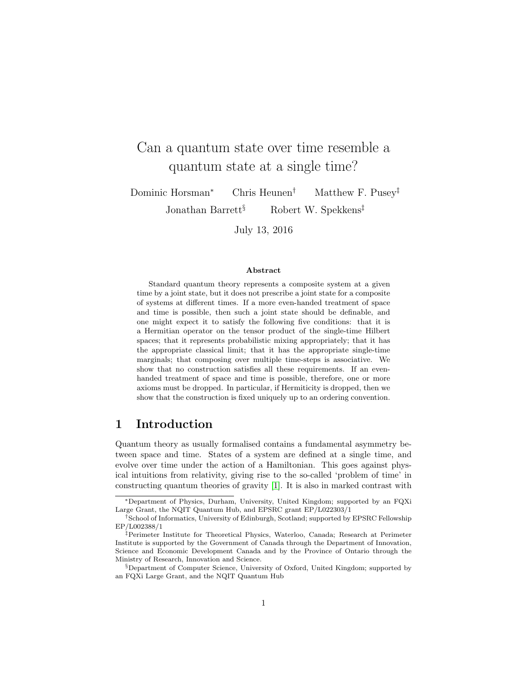# Can a quantum state over time resemble a quantum state at a single time?

Dominic Horsman<sup>∗</sup> Chris Heunen† Matthew F. Pusey‡

Jonathan Barrett<sup>§</sup> Robert W. Spekkens<sup>‡</sup>

July 13, 2016

#### Abstract

Standard quantum theory represents a composite system at a given time by a joint state, but it does not prescribe a joint state for a composite of systems at different times. If a more even-handed treatment of space and time is possible, then such a joint state should be definable, and one might expect it to satisfy the following five conditions: that it is a Hermitian operator on the tensor product of the single-time Hilbert spaces; that it represents probabilistic mixing appropriately; that it has the appropriate classical limit; that it has the appropriate single-time marginals; that composing over multiple time-steps is associative. We show that no construction satisfies all these requirements. If an evenhanded treatment of space and time is possible, therefore, one or more axioms must be dropped. In particular, if Hermiticity is dropped, then we show that the construction is fixed uniquely up to an ordering convention.

# 1 Introduction

Quantum theory as usually formalised contains a fundamental asymmetry between space and time. States of a system are defined at a single time, and evolve over time under the action of a Hamiltonian. This goes against physical intuitions from relativity, giving rise to the so-called 'problem of time' in constructing quantum theories of gravity [\[1\]](#page-12-0). It is also in marked contrast with

<sup>∗</sup>Department of Physics, Durham, University, United Kingdom; supported by an FQXi Large Grant, the NQIT Quantum Hub, and EPSRC grant EP/L022303/1

<sup>†</sup>School of Informatics, University of Edinburgh, Scotland; supported by EPSRC Fellowship EP/L002388/1

<sup>‡</sup>Perimeter Institute for Theoretical Physics, Waterloo, Canada; Research at Perimeter Institute is supported by the Government of Canada through the Department of Innovation, Science and Economic Development Canada and by the Province of Ontario through the Ministry of Research, Innovation and Science.

<sup>§</sup>Department of Computer Science, University of Oxford, United Kingdom; supported by an FQXi Large Grant, and the NQIT Quantum Hub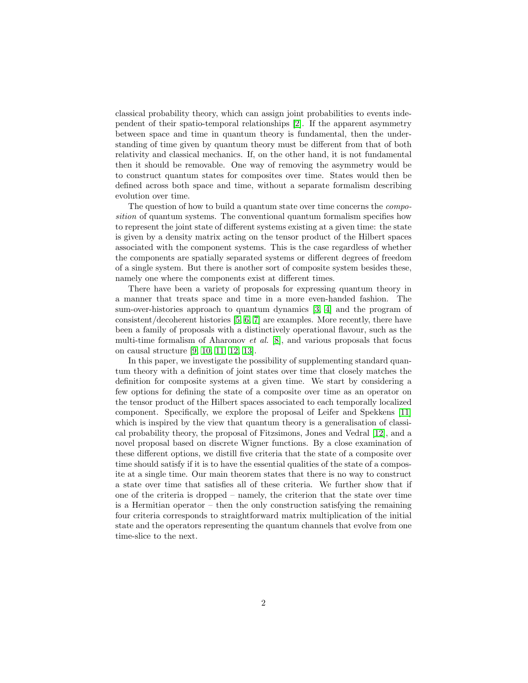classical probability theory, which can assign joint probabilities to events independent of their spatio-temporal relationships [\[2\]](#page-12-1). If the apparent asymmetry between space and time in quantum theory is fundamental, then the understanding of time given by quantum theory must be different from that of both relativity and classical mechanics. If, on the other hand, it is not fundamental then it should be removable. One way of removing the asymmetry would be to construct quantum states for composites over time. States would then be defined across both space and time, without a separate formalism describing evolution over time.

The question of how to build a quantum state over time concerns the *compo*sition of quantum systems. The conventional quantum formalism specifies how to represent the joint state of different systems existing at a given time: the state is given by a density matrix acting on the tensor product of the Hilbert spaces associated with the component systems. This is the case regardless of whether the components are spatially separated systems or different degrees of freedom of a single system. But there is another sort of composite system besides these, namely one where the components exist at different times.

There have been a variety of proposals for expressing quantum theory in a manner that treats space and time in a more even-handed fashion. The sum-over-histories approach to quantum dynamics [\[3,](#page-12-2) [4\]](#page-12-3) and the program of consistent/decoherent histories [\[5,](#page-12-4) [6,](#page-12-5) [7\]](#page-12-6) are examples. More recently, there have been a family of proposals with a distinctively operational flavour, such as the multi-time formalism of Aharonov et al. [\[8\]](#page-12-7), and various proposals that focus on causal structure [\[9,](#page-12-8) [10,](#page-13-0) [11,](#page-13-1) [12,](#page-13-2) [13\]](#page-13-3).

In this paper, we investigate the possibility of supplementing standard quantum theory with a definition of joint states over time that closely matches the definition for composite systems at a given time. We start by considering a few options for defining the state of a composite over time as an operator on the tensor product of the Hilbert spaces associated to each temporally localized component. Specifically, we explore the proposal of Leifer and Spekkens [\[11\]](#page-13-1) which is inspired by the view that quantum theory is a generalisation of classical probability theory, the proposal of Fitzsimons, Jones and Vedral [\[12\]](#page-13-2), and a novel proposal based on discrete Wigner functions. By a close examination of these different options, we distill five criteria that the state of a composite over time should satisfy if it is to have the essential qualities of the state of a composite at a single time. Our main theorem states that there is no way to construct a state over time that satisfies all of these criteria. We further show that if one of the criteria is dropped – namely, the criterion that the state over time is a Hermitian operator – then the only construction satisfying the remaining four criteria corresponds to straightforward matrix multiplication of the initial state and the operators representing the quantum channels that evolve from one time-slice to the next.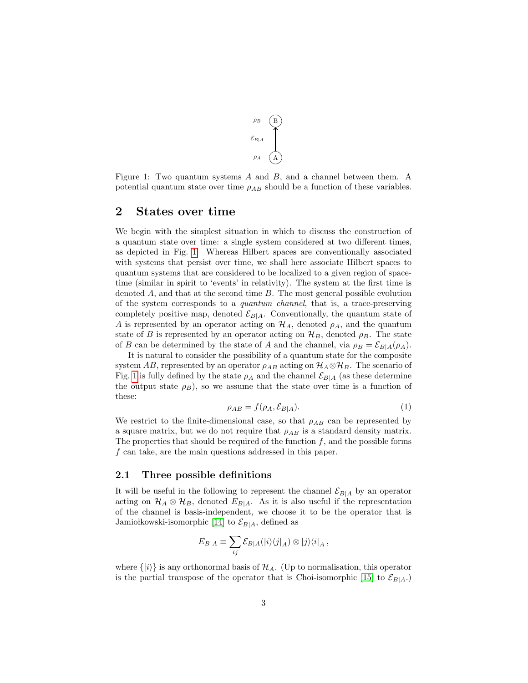

<span id="page-2-0"></span>Figure 1: Two quantum systems  $A$  and  $B$ , and a channel between them. A potential quantum state over time  $\rho_{AB}$  should be a function of these variables.

### 2 States over time

We begin with the simplest situation in which to discuss the construction of a quantum state over time: a single system considered at two different times, as depicted in Fig. [1.](#page-2-0) Whereas Hilbert spaces are conventionally associated with systems that persist over time, we shall here associate Hilbert spaces to quantum systems that are considered to be localized to a given region of spacetime (similar in spirit to 'events' in relativity). The system at the first time is denoted  $A$ , and that at the second time  $B$ . The most general possible evolution of the system corresponds to a quantum channel, that is, a trace-preserving completely positive map, denoted  $\mathcal{E}_{B|A}$ . Conventionally, the quantum state of A is represented by an operator acting on  $\mathcal{H}_A$ , denoted  $\rho_A$ , and the quantum state of B is represented by an operator acting on  $\mathcal{H}_B$ , denoted  $\rho_B$ . The state of B can be determined by the state of A and the channel, via  $\rho_B = \mathcal{E}_{B|A}(\rho_A)$ .

It is natural to consider the possibility of a quantum state for the composite system AB, represented by an operator  $\rho_{AB}$  acting on  $\mathcal{H}_A \otimes \mathcal{H}_B$ . The scenario of Fig. [1](#page-2-0) is fully defined by the state  $\rho_A$  and the channel  $\mathcal{E}_{B|A}$  (as these determine the output state  $\rho_B$ ), so we assume that the state over time is a function of these:

$$
\rho_{AB} = f(\rho_A, \mathcal{E}_{B|A}).\tag{1}
$$

We restrict to the finite-dimensional case, so that  $\rho_{AB}$  can be represented by a square matrix, but we do not require that  $\rho_{AB}$  is a standard density matrix. The properties that should be required of the function  $f$ , and the possible forms f can take, are the main questions addressed in this paper.

#### 2.1 Three possible definitions

It will be useful in the following to represent the channel  $\mathcal{E}_{B|A}$  by an operator acting on  $\mathcal{H}_A \otimes \mathcal{H}_B$ , denoted  $E_{B|A}$ . As it is also useful if the representation of the channel is basis-independent, we choose it to be the operator that is Jamiołkowski-isomorphic [\[14\]](#page-13-4) to  $\mathcal{E}_{B|A}$ , defined as

$$
E_{B|A} \equiv \sum_{ij} \mathcal{E}_{B|A}(|i\rangle\langle j|_A) \otimes |j\rangle\langle i|_A ,
$$

where  $\{|i\rangle\}$  is any orthonormal basis of  $\mathcal{H}_A$ . (Up to normalisation, this operator is the partial transpose of the operator that is Choi-isomorphic [\[15\]](#page-13-5) to  $\mathcal{E}_{B|A}$ .)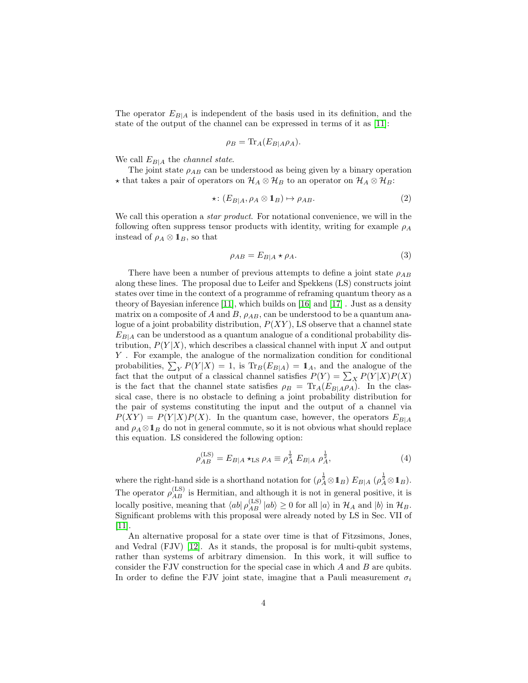The operator  $E_{B|A}$  is independent of the basis used in its definition, and the state of the output of the channel can be expressed in terms of it as [\[11\]](#page-13-1):

$$
\rho_B = \text{Tr}_A(E_{B|A}\rho_A).
$$

We call  $E_{B|A}$  the *channel state*.

The joint state  $\rho_{AB}$  can be understood as being given by a binary operation  $\star$  that takes a pair of operators on  $\mathcal{H}_A \otimes \mathcal{H}_B$  to an operator on  $\mathcal{H}_A \otimes \mathcal{H}_B$ :

<span id="page-3-1"></span>
$$
\star \colon (E_{B|A}, \rho_A \otimes \mathbf{1}_B) \mapsto \rho_{AB}.\tag{2}
$$

We call this operation a *star product*. For notational convenience, we will in the following often suppress tensor products with identity, writing for example  $\rho_A$ instead of  $\rho_A \otimes \mathbf{1}_B$ , so that

<span id="page-3-0"></span>
$$
\rho_{AB} = E_{B|A} \star \rho_A. \tag{3}
$$

There have been a number of previous attempts to define a joint state  $\rho_{AB}$ along these lines. The proposal due to Leifer and Spekkens (LS) constructs joint states over time in the context of a programme of reframing quantum theory as a theory of Bayesian inference [\[11\]](#page-13-1), which builds on [\[16\]](#page-13-6) and [\[17\]](#page-13-7) . Just as a density matrix on a composite of  $A$  and  $B$ ,  $\rho_{AB}$ , can be understood to be a quantum analogue of a joint probability distribution,  $P(XY)$ , LS observe that a channel state  $E_{B|A}$  can be understood as a quantum analogue of a conditional probability distribution,  $P(Y|X)$ , which describes a classical channel with input X and output Y . For example, the analogue of the normalization condition for conditional probabilities,  $\sum_{Y} P(Y|X) = 1$ , is  $\text{Tr}_{B}(E_{B|A}) = 1_A$ , and the analogue of the fact that the output of a classical channel satisfies  $P(Y) = \sum_{X} P(Y|X)P(X)$ is the fact that the channel state satisfies  $\rho_B = \text{Tr}_A(E_{B|A}\rho_A)$ . In the classical case, there is no obstacle to defining a joint probability distribution for the pair of systems constituting the input and the output of a channel via  $P(XY) = P(Y|X)P(X)$ . In the quantum case, however, the operators  $E_{B|A}$ and  $\rho_A \otimes \mathbb{1}_B$  do not in general commute, so it is not obvious what should replace this equation. LS considered the following option:

$$
\rho_{AB}^{(\text{LS})} = E_{B|A} \star_{\text{LS}} \rho_A \equiv \rho_A^{\frac{1}{2}} E_{B|A} \rho_A^{\frac{1}{2}},\tag{4}
$$

where the right-hand side is a shorthand notation for  $(\rho_A^{\frac{1}{2}} \otimes 1_B) E_{B|A}$   $(\rho_A^{\frac{1}{2}} \otimes 1_B)$ . The operator  $\rho_{AB}^{(\text{LS})}$  is Hermitian, and although it is not in general positive, it is locally positive, meaning that  $\langle ab | \rho_{AB}^{(\text{LS})} | ab \rangle \ge 0$  for all  $|a\rangle$  in  $\mathcal{H}_A$  and  $|b\rangle$  in  $\mathcal{H}_B$ . Significant problems with this proposal were already noted by LS in Sec. VII of [\[11\]](#page-13-1).

An alternative proposal for a state over time is that of Fitzsimons, Jones, and Vedral (FJV) [\[12\]](#page-13-2). As it stands, the proposal is for multi-qubit systems, rather than systems of arbitrary dimension. In this work, it will suffice to consider the FJV construction for the special case in which A and B are qubits. In order to define the FJV joint state, imagine that a Pauli measurement  $\sigma_i$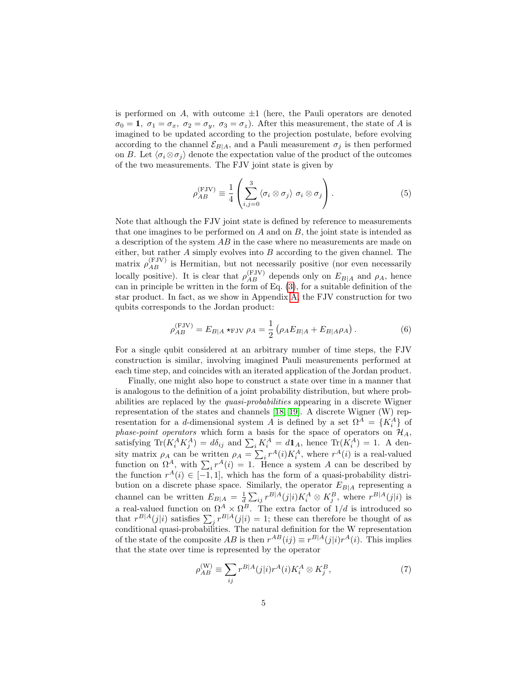is performed on  $A$ , with outcome  $\pm 1$  (here, the Pauli operators are denoted  $\sigma_0 = 1$ ,  $\sigma_1 = \sigma_x$ ,  $\sigma_2 = \sigma_y$ ,  $\sigma_3 = \sigma_z$ ). After this measurement, the state of A is imagined to be updated according to the projection postulate, before evolving according to the channel  $\mathcal{E}_{B|A}$ , and a Pauli measurement  $\sigma_i$  is then performed on B. Let  $\langle \sigma_i \otimes \sigma_j \rangle$  denote the expectation value of the product of the outcomes of the two measurements. The FJV joint state is given by

<span id="page-4-1"></span>
$$
\rho_{AB}^{(\text{FJV})} \equiv \frac{1}{4} \left( \sum_{i,j=0}^{3} \langle \sigma_i \otimes \sigma_j \rangle \sigma_i \otimes \sigma_j \right). \tag{5}
$$

Note that although the FJV joint state is defined by reference to measurements that one imagines to be performed on  $A$  and on  $B$ , the joint state is intended as a description of the system AB in the case where no measurements are made on either, but rather  $A$  simply evolves into  $B$  according to the given channel. The matrix  $\rho_{AB}^{(FJV)}$  is Hermitian, but not necessarily positive (nor even necessarily locally positive). It is clear that  $\rho_{AB}^{(FJV)}$  depends only on  $E_{B|A}$  and  $\rho_A$ , hence can in principle be written in the form of Eq. [\(3\)](#page-3-0), for a suitable definition of the star product. In fact, as we show in Appendix [A,](#page-14-0) the FJV construction for two qubits corresponds to the Jordan product:

<span id="page-4-0"></span>
$$
\rho_{AB}^{(FJV)} = E_{B|A} *_{\text{FJV}} \rho_A = \frac{1}{2} \left( \rho_A E_{B|A} + E_{B|A} \rho_A \right). \tag{6}
$$

For a single qubit considered at an arbitrary number of time steps, the FJV construction is similar, involving imagined Pauli measurements performed at each time step, and coincides with an iterated application of the Jordan product.

Finally, one might also hope to construct a state over time in a manner that is analogous to the definition of a joint probability distribution, but where probabilities are replaced by the quasi-probabilities appearing in a discrete Wigner representation of the states and channels [\[18,](#page-13-8) [19\]](#page-13-9). A discrete Wigner (W) representation for a d-dimensional system A is defined by a set  $\Omega^A = \{K_i^A\}$  of phase-point operators which form a basis for the space of operators on  $\mathcal{H}_A$ , satisfying  $\text{Tr}(K_i^A K_j^A) = d\delta_{ij}$  and  $\sum_i K_i^A = d\mathbb{1}_A$ , hence  $\text{Tr}(K_i^A) = 1$ . A density matrix  $\rho_A$  can be written  $\rho_A = \sum_i r^A(i) K_i^A$ , where  $r^A(i)$  is a real-valued function on  $\Omega^A$ , with  $\sum_i r^A(i) = 1$ . Hence a system A can be described by the function  $r^{A}(i) \in [-1,1]$ , which has the form of a quasi-probability distribution on a discrete phase space. Similarly, the operator  $E_{B|A}$  representing a channel can be written  $E_{B|A} = \frac{1}{d} \sum_{ij} r^{B|A}(j|i) K_i^A \otimes K_j^B$ , where  $r^{B|A}(j|i)$  is a real-valued function on  $\Omega^A \times \Omega^B$ . The extra factor of  $1/d$  is introduced so that  $r^{B|A}(j|i)$  satisfies  $\sum_j r^{B|A}(j|i) = 1$ ; these can therefore be thought of as conditional quasi-probabilities. The natural definition for the W representation of the state of the composite AB is then  $r^{AB}(ij) \equiv r^{B|A}(j|i) r^{A}(i)$ . This implies that the state over time is represented by the operator

$$
\rho_{AB}^{(\mathrm{W})} \equiv \sum_{ij} r^{B|A}(j|i) r^A(i) K_i^A \otimes K_j^B, \tag{7}
$$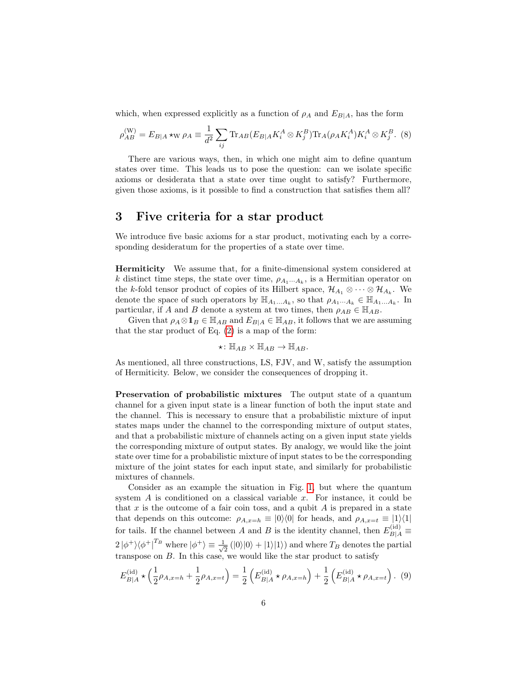which, when expressed explicitly as a function of  $\rho_A$  and  $E_{B|A}$ , has the form

$$
\rho_{AB}^{(W)} = E_{B|A} *_{W} \rho_{A} \equiv \frac{1}{d^{2}} \sum_{ij} \text{Tr}_{AB} (E_{B|A} K_{i}^{A} \otimes K_{j}^{B}) \text{Tr}_{A} (\rho_{A} K_{i}^{A}) K_{i}^{A} \otimes K_{j}^{B}.
$$
 (8)

There are various ways, then, in which one might aim to define quantum states over time. This leads us to pose the question: can we isolate specific axioms or desiderata that a state over time ought to satisfy? Furthermore, given those axioms, is it possible to find a construction that satisfies them all?

#### 3 Five criteria for a star product

We introduce five basic axioms for a star product, motivating each by a corresponding desideratum for the properties of a state over time.

Hermiticity We assume that, for a finite-dimensional system considered at k distinct time steps, the state over time,  $\rho_{A_1\cdots A_k}$ , is a Hermitian operator on the k-fold tensor product of copies of its Hilbert space,  $\mathcal{H}_{A_1} \otimes \cdots \otimes \mathcal{H}_{A_k}$ . We denote the space of such operators by  $\mathbb{H}_{A_1...A_k}$ , so that  $\rho_{A_1...A_k} \in \mathbb{H}_{A_1...A_k}$ . In particular, if A and B denote a system at two times, then  $\rho_{AB} \in \mathbb{H}_{AB}$ .

Given that  $\rho_A \otimes \mathbf{1}_B \in \mathbb{H}_{AB}$  and  $E_{B|A} \in \mathbb{H}_{AB}$ , it follows that we are assuming that the star product of Eq. [\(2\)](#page-3-1) is a map of the form:

$$
\star\colon \mathbb{H}_{AB}\times \mathbb{H}_{AB}\to \mathbb{H}_{AB}.
$$

As mentioned, all three constructions, LS, FJV, and W, satisfy the assumption of Hermiticity. Below, we consider the consequences of dropping it.

Preservation of probabilistic mixtures The output state of a quantum channel for a given input state is a linear function of both the input state and the channel. This is necessary to ensure that a probabilistic mixture of input states maps under the channel to the corresponding mixture of output states, and that a probabilistic mixture of channels acting on a given input state yields the corresponding mixture of output states. By analogy, we would like the joint state over time for a probabilistic mixture of input states to be the corresponding mixture of the joint states for each input state, and similarly for probabilistic mixtures of channels.

Consider as an example the situation in Fig. [1,](#page-2-0) but where the quantum system  $A$  is conditioned on a classical variable  $x$ . For instance, it could be that  $x$  is the outcome of a fair coin toss, and a qubit  $A$  is prepared in a state that depends on this outcome:  $\rho_{A,x=h} \equiv |0\rangle\langle 0|$  for heads, and  $\rho_{A,x=t} \equiv |1\rangle\langle 1|$ for tails. If the channel between A and B is the identity channel, then  $E_{B|A}^{(id)} \equiv$  $2|\phi^+\rangle\langle\phi^+|^{\text{T}_B}$  where  $|\phi^+\rangle \equiv \frac{1}{\sqrt{2}}$  $\frac{1}{2}$  (|0)|0) + |1)|1)) and where  $T_B$  denotes the partial transpose on  $B$ . In this case, we would like the star product to satisfy

<span id="page-5-0"></span>
$$
E_{B|A}^{(\text{id})} \star \left(\frac{1}{2}\rho_{A,x=h} + \frac{1}{2}\rho_{A,x=t}\right) = \frac{1}{2} \left( E_{B|A}^{(\text{id})} \star \rho_{A,x=h} \right) + \frac{1}{2} \left( E_{B|A}^{(\text{id})} \star \rho_{A,x=t} \right). (9)
$$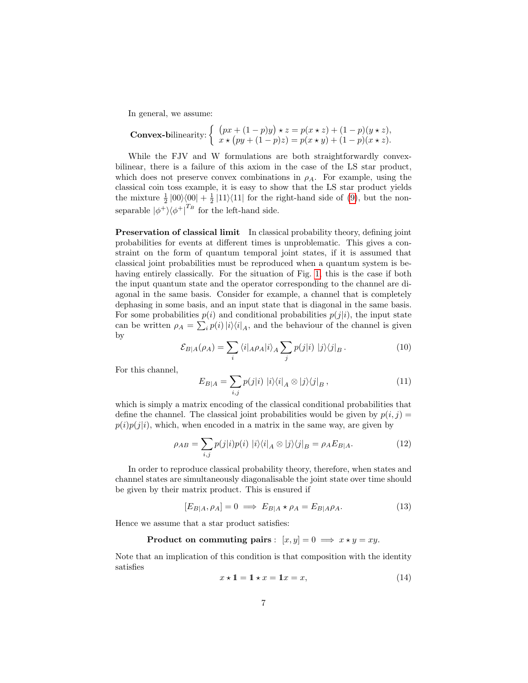In general, we assume:

**Convex-bilinearity:** 
$$
\begin{cases} (px + (1-p)y) \star z = p(x \star z) + (1-p)(y \star z), \\ x \star (py + (1-p)z) = p(x \star y) + (1-p)(x \star z). \end{cases}
$$

While the FJV and W formulations are both straightforwardly convexbilinear, there is a failure of this axiom in the case of the LS star product, which does not preserve convex combinations in  $\rho_A$ . For example, using the classical coin toss example, it is easy to show that the LS star product yields the mixture  $\frac{1}{2}$  |00 $\rangle\langle00| + \frac{1}{2}$  |11 $\rangle\langle11|$  for the right-hand side of [\(9\)](#page-5-0), but the nonseparable  $|\phi^+\rangle\langle\phi^+|^{T_B}$  for the left-hand side.

Preservation of classical limit In classical probability theory, defining joint probabilities for events at different times is unproblematic. This gives a constraint on the form of quantum temporal joint states, if it is assumed that classical joint probabilities must be reproduced when a quantum system is behaving entirely classically. For the situation of Fig. [1,](#page-2-0) this is the case if both the input quantum state and the operator corresponding to the channel are diagonal in the same basis. Consider for example, a channel that is completely dephasing in some basis, and an input state that is diagonal in the same basis. For some probabilities  $p(i)$  and conditional probabilities  $p(j|i)$ , the input state can be written  $\rho_A = \sum_i p(i) |i\rangle\langle i|_A$ , and the behaviour of the channel is given by

$$
\mathcal{E}_{B|A}(\rho_A) = \sum_{i} \langle i |_{A}\rho_A | i \rangle_A \sum_{j} p(j|i) | j \rangle \langle j |_{B}.
$$
 (10)

For this channel,

$$
E_{B|A} = \sum_{i,j} p(j|i) |i\rangle\langle i|_A \otimes |j\rangle\langle j|_B, \qquad (11)
$$

which is simply a matrix encoding of the classical conditional probabilities that define the channel. The classical joint probabilities would be given by  $p(i, j)$  =  $p(i)p(j|i)$ , which, when encoded in a matrix in the same way, are given by

$$
\rho_{AB} = \sum_{i,j} p(j|i)p(i) |i\rangle\langle i|_A \otimes |j\rangle\langle j|_B = \rho_A E_{B|A}.
$$
 (12)

In order to reproduce classical probability theory, therefore, when states and channel states are simultaneously diagonalisable the joint state over time should be given by their matrix product. This is ensured if

$$
[E_{B|A}, \rho_A] = 0 \implies E_{B|A} \star \rho_A = E_{B|A}\rho_A. \tag{13}
$$

Hence we assume that a star product satisfies:

**Product on commuting pairs**: 
$$
[x, y] = 0 \implies x \star y = xy
$$
.

Note that an implication of this condition is that composition with the identity satisfies

<span id="page-6-0"></span>
$$
x \star \mathbf{1} = \mathbf{1} \star x = \mathbf{1}x = x,\tag{14}
$$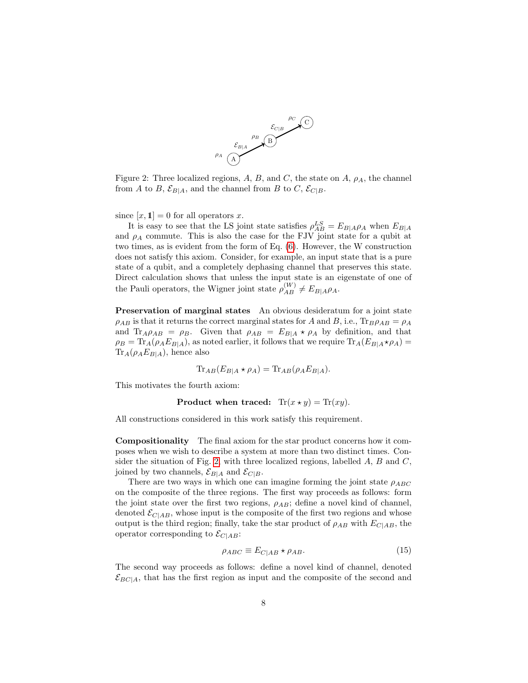

<span id="page-7-0"></span>Figure 2: Three localized regions, A, B, and C, the state on A,  $\rho_A$ , the channel from A to B,  $\mathcal{E}_{B|A}$ , and the channel from B to C,  $\mathcal{E}_{C|B}$ .

since  $[x, 1] = 0$  for all operators x.

It is easy to see that the LS joint state satisfies  $\rho_{AB}^{LS} = E_{B|A}\rho_A$  when  $E_{B|A}$ and  $\rho_A$  commute. This is also the case for the FJV joint state for a qubit at two times, as is evident from the form of Eq. [\(6\)](#page-4-0). However, the W construction does not satisfy this axiom. Consider, for example, an input state that is a pure state of a qubit, and a completely dephasing channel that preserves this state. Direct calculation shows that unless the input state is an eigenstate of one of the Pauli operators, the Wigner joint state  $\rho_{AB}^{(W)} \neq E_{B|A}\rho_A$ .

**Preservation of marginal states** An obvious desideratum for a joint state  $\rho_{AB}$  is that it returns the correct marginal states for A and B, i.e.,  $\text{Tr}_{B}\rho_{AB} = \rho_{A}$ and Tr<sub>A</sub> $\rho_{AB} = \rho_B$ . Given that  $\rho_{AB} = E_{B|A} \star \rho_A$  by definition, and that  $\rho_B = \text{Tr}_A(\rho_A E_{B|A})$ , as noted earlier, it follows that we require  $\text{Tr}_A(E_{B|A} \star \rho_A)$  $\text{Tr}_A(\rho_A E_{B|A})$ , hence also

$$
\text{Tr}_{AB}(E_{B|A} \star \rho_A) = \text{Tr}_{AB}(\rho_A E_{B|A}).
$$

This motivates the fourth axiom:

Product when traced:  $\text{Tr}(x \star y) = \text{Tr}(xy)$ .

All constructions considered in this work satisfy this requirement.

Compositionality The final axiom for the star product concerns how it composes when we wish to describe a system at more than two distinct times. Con-sider the situation of Fig. [2,](#page-7-0) with three localized regions, labelled  $A, B$  and  $C$ , joined by two channels,  $\mathcal{E}_{B|A}$  and  $\mathcal{E}_{C|B}$ .

There are two ways in which one can imagine forming the joint state  $\rho_{ABC}$ on the composite of the three regions. The first way proceeds as follows: form the joint state over the first two regions,  $\rho_{AB}$ ; define a novel kind of channel, denoted  $\mathcal{E}_{C|AB}$ , whose input is the composite of the first two regions and whose output is the third region; finally, take the star product of  $\rho_{AB}$  with  $E_{C|AB}$ , the operator corresponding to  $\mathcal{E}_{C|AB}$ :

<span id="page-7-1"></span>
$$
\rho_{ABC} \equiv E_{C|AB} \star \rho_{AB}.\tag{15}
$$

The second way proceeds as follows: define a novel kind of channel, denoted  $\mathcal{E}_{BC|A}$ , that has the first region as input and the composite of the second and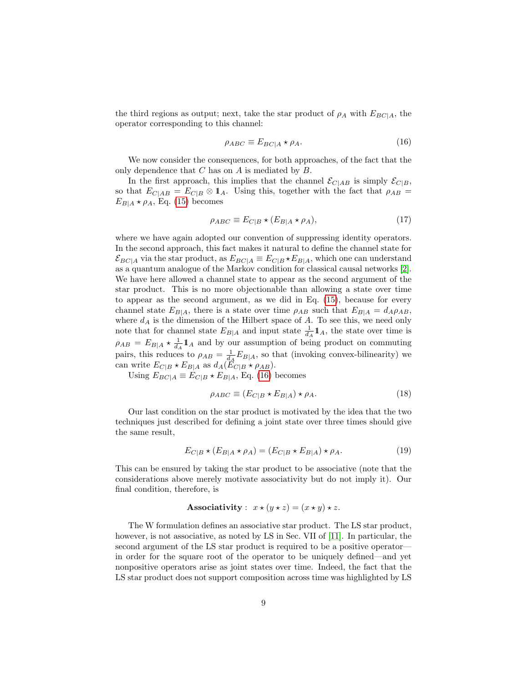the third regions as output; next, take the star product of  $\rho_A$  with  $E_{BC|A}$ , the operator corresponding to this channel:

<span id="page-8-0"></span>
$$
\rho_{ABC} \equiv E_{BC|A} \star \rho_A. \tag{16}
$$

We now consider the consequences, for both approaches, of the fact that the only dependence that  $C$  has on  $A$  is mediated by  $B$ .

In the first approach, this implies that the channel  $\mathcal{E}_{C|AB}$  is simply  $\mathcal{E}_{C|B}$ , so that  $E_{C|AB} = E_{C|B} \otimes \mathbb{1}_A$ . Using this, together with the fact that  $\rho_{AB} =$  $E_{B|A} \star \rho_A$ , Eq. [\(15\)](#page-7-1) becomes

$$
\rho_{ABC} \equiv E_{C|B} \star (E_{B|A} \star \rho_A), \tag{17}
$$

where we have again adopted our convention of suppressing identity operators. In the second approach, this fact makes it natural to define the channel state for  $\mathcal{E}_{BC|A}$  via the star product, as  $E_{BC|A} \equiv E_{C|B} \star E_{B|A}$ , which one can understand as a quantum analogue of the Markov condition for classical causal networks [\[2\]](#page-12-1). We have here allowed a channel state to appear as the second argument of the star product. This is no more objectionable than allowing a state over time to appear as the second argument, as we did in Eq. [\(15\)](#page-7-1), because for every channel state  $E_{B|A}$ , there is a state over time  $\rho_{AB}$  such that  $E_{B|A} = d_A \rho_{AB}$ , where  $d_A$  is the dimension of the Hilbert space of A. To see this, we need only note that for channel state  $E_{B|A}$  and input state  $\frac{1}{d_A}\mathbf{1}_A$ , the state over time is  $\rho_{AB} = E_{B|A} \star \frac{1}{d_A} \mathbb{1}_A$  and by our assumption of being product on commuting pairs, this reduces to  $\rho_{AB} = \frac{1}{d_A} E_{B|A}$ , so that (invoking convex-bilinearity) we can write  $E_{C|B} \star E_{B|A}$  as  $d_A(\tilde{E}_{C|B} \star \rho_{AB}).$ 

Using  $E_{BC|A} \equiv E_{C|B} \star E_{B|A}$ , Eq. [\(16\)](#page-8-0) becomes

$$
\rho_{ABC} \equiv (E_{C|B} \star E_{B|A}) \star \rho_A. \tag{18}
$$

Our last condition on the star product is motivated by the idea that the two techniques just described for defining a joint state over three times should give the same result,

$$
E_{C|B} \star (E_{B|A} \star \rho_A) = (E_{C|B} \star E_{B|A}) \star \rho_A.
$$
\n(19)

This can be ensured by taking the star product to be associative (note that the considerations above merely motivate associativity but do not imply it). Our final condition, therefore, is

Associativity :  $x \star (y \star z) = (x \star y) \star z$ .

The W formulation defines an associative star product. The LS star product, however, is not associative, as noted by LS in Sec. VII of [\[11\]](#page-13-1). In particular, the second argument of the LS star product is required to be a positive operator in order for the square root of the operator to be uniquely defined—and yet nonpositive operators arise as joint states over time. Indeed, the fact that the LS star product does not support composition across time was highlighted by LS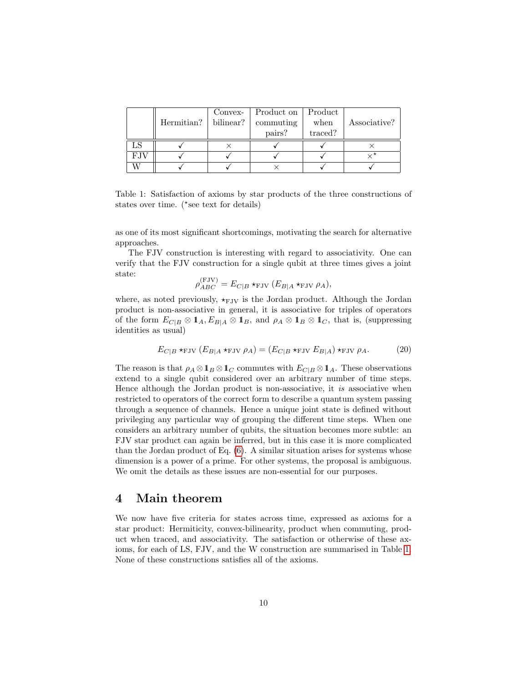|             |                | Convex-   | Product on | Product |              |
|-------------|----------------|-----------|------------|---------|--------------|
|             | Hermitian? $ $ | bilinear? | commuting  | when    | Associative? |
|             |                |           | pairs?     | traced? |              |
|             |                |           |            |         |              |
| <b>F.JV</b> |                |           |            |         |              |
|             |                |           |            |         |              |

<span id="page-9-0"></span>Table 1: Satisfaction of axioms by star products of the three constructions of states over time.  $(*see text for details)$ 

as one of its most significant shortcomings, motivating the search for alternative approaches.

The FJV construction is interesting with regard to associativity. One can verify that the FJV construction for a single qubit at three times gives a joint state:  $(5,1)$ 

$$
\rho_{ABC}^{(FJV)} = E_{C|B} \star_{\text{FJV}} (E_{B|A} \star_{\text{FJV}} \rho_A),
$$

where, as noted previously,  $\star_{\text{FJV}}$  is the Jordan product. Although the Jordan product is non-associative in general, it is associative for triples of operators of the form  $E_{C|B} \otimes \mathbf{1}_A$ ,  $E_{B|A} \otimes \mathbf{1}_B$ , and  $\rho_A \otimes \mathbf{1}_B \otimes \mathbf{1}_C$ , that is, (suppressing identities as usual)

$$
E_{C|B} \star_{\text{FJV}} (E_{B|A} \star_{\text{FJV}} \rho_A) = (E_{C|B} \star_{\text{FJV}} E_{B|A}) \star_{\text{FJV}} \rho_A.
$$
 (20)

The reason is that  $\rho_A \otimes \mathbf{1}_B \otimes \mathbf{1}_C$  commutes with  $E_{C|B} \otimes \mathbf{1}_A$ . These observations extend to a single qubit considered over an arbitrary number of time steps. Hence although the Jordan product is non-associative, it is associative when restricted to operators of the correct form to describe a quantum system passing through a sequence of channels. Hence a unique joint state is defined without privileging any particular way of grouping the different time steps. When one considers an arbitrary number of qubits, the situation becomes more subtle: an FJV star product can again be inferred, but in this case it is more complicated than the Jordan product of Eq. [\(6\)](#page-4-0). A similar situation arises for systems whose dimension is a power of a prime. For other systems, the proposal is ambiguous. We omit the details as these issues are non-essential for our purposes.

## 4 Main theorem

We now have five criteria for states across time, expressed as axioms for a star product: Hermiticity, convex-bilinearity, product when commuting, product when traced, and associativity. The satisfaction or otherwise of these axioms, for each of LS, FJV, and the W construction are summarised in Table [1.](#page-9-0) None of these constructions satisfies all of the axioms.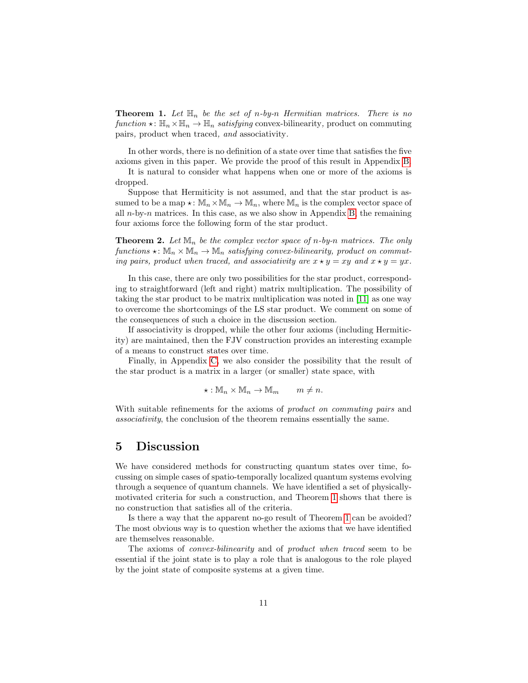<span id="page-10-0"></span>**Theorem 1.** Let  $\mathbb{H}_n$  be the set of n-by-n Hermitian matrices. There is no function  $\star: \mathbb{H}_n \times \mathbb{H}_n \to \mathbb{H}_n$  satisfying convex-bilinearity, product on commuting pairs, product when traced, and associativity.

In other words, there is no definition of a state over time that satisfies the five axioms given in this paper. We provide the proof of this result in Appendix [B.](#page-15-0)

It is natural to consider what happens when one or more of the axioms is dropped.

Suppose that Hermiticity is not assumed, and that the star product is assumed to be a map  $\star: \mathbb{M}_n \times \mathbb{M}_n \to \mathbb{M}_n$ , where  $\mathbb{M}_n$  is the complex vector space of all  $n$ -by-n matrices. In this case, as we also show in Appendix [B,](#page-15-0) the remaining four axioms force the following form of the star product.

<span id="page-10-1"></span>**Theorem 2.** Let  $\mathbb{M}_n$  be the complex vector space of n-by-n matrices. The only functions  $\star : \mathbb{M}_n \times \mathbb{M}_n \to \mathbb{M}_n$  satisfying convex-bilinearity, product on commuting pairs, product when traced, and associativity are  $x \star y = xy$  and  $x \star y = yx$ .

In this case, there are only two possibilities for the star product, corresponding to straightforward (left and right) matrix multiplication. The possibility of taking the star product to be matrix multiplication was noted in [\[11\]](#page-13-1) as one way to overcome the shortcomings of the LS star product. We comment on some of the consequences of such a choice in the discussion section.

If associativity is dropped, while the other four axioms (including Hermiticity) are maintained, then the FJV construction provides an interesting example of a means to construct states over time.

Finally, in Appendix [C,](#page-17-0) we also consider the possibility that the result of the star product is a matrix in a larger (or smaller) state space, with

$$
\star: \mathbb{M}_n \times \mathbb{M}_n \to \mathbb{M}_m \qquad m \neq n.
$$

With suitable refinements for the axioms of *product on commuting pairs* and associativity, the conclusion of the theorem remains essentially the same.

### 5 Discussion

We have considered methods for constructing quantum states over time, focussing on simple cases of spatio-temporally localized quantum systems evolving through a sequence of quantum channels. We have identified a set of physicallymotivated criteria for such a construction, and Theorem [1](#page-10-0) shows that there is no construction that satisfies all of the criteria.

Is there a way that the apparent no-go result of Theorem [1](#page-10-0) can be avoided? The most obvious way is to question whether the axioms that we have identified are themselves reasonable.

The axioms of convex-bilinearity and of product when traced seem to be essential if the joint state is to play a role that is analogous to the role played by the joint state of composite systems at a given time.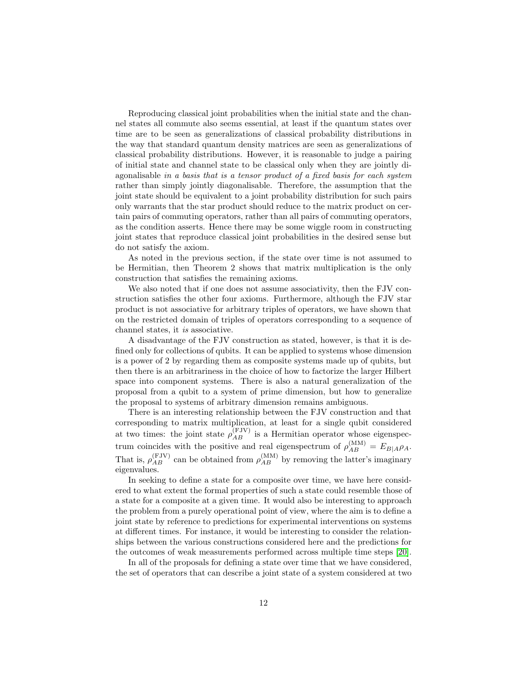Reproducing classical joint probabilities when the initial state and the channel states all commute also seems essential, at least if the quantum states over time are to be seen as generalizations of classical probability distributions in the way that standard quantum density matrices are seen as generalizations of classical probability distributions. However, it is reasonable to judge a pairing of initial state and channel state to be classical only when they are jointly diagonalisable in a basis that is a tensor product of a fixed basis for each system rather than simply jointly diagonalisable. Therefore, the assumption that the joint state should be equivalent to a joint probability distribution for such pairs only warrants that the star product should reduce to the matrix product on certain pairs of commuting operators, rather than all pairs of commuting operators, as the condition asserts. Hence there may be some wiggle room in constructing joint states that reproduce classical joint probabilities in the desired sense but do not satisfy the axiom.

As noted in the previous section, if the state over time is not assumed to be Hermitian, then Theorem 2 shows that matrix multiplication is the only construction that satisfies the remaining axioms.

We also noted that if one does not assume associativity, then the FJV construction satisfies the other four axioms. Furthermore, although the FJV star product is not associative for arbitrary triples of operators, we have shown that on the restricted domain of triples of operators corresponding to a sequence of channel states, it is associative.

A disadvantage of the FJV construction as stated, however, is that it is defined only for collections of qubits. It can be applied to systems whose dimension is a power of 2 by regarding them as composite systems made up of qubits, but then there is an arbitrariness in the choice of how to factorize the larger Hilbert space into component systems. There is also a natural generalization of the proposal from a qubit to a system of prime dimension, but how to generalize the proposal to systems of arbitrary dimension remains ambiguous.

There is an interesting relationship between the FJV construction and that corresponding to matrix multiplication, at least for a single qubit considered at two times: the joint state  $\rho_{AB}^{(\text{FJV})}$  is a Hermitian operator whose eigenspectrum coincides with the positive and real eigenspectrum of  $\rho_{AB}^{(MM)} = E_{B|A}\rho_A$ . That is,  $\rho_{AB}^{(\text{FJV})}$  can be obtained from  $\rho_{AB}^{(\text{MM})}$  by removing the latter's imaginary eigenvalues.

In seeking to define a state for a composite over time, we have here considered to what extent the formal properties of such a state could resemble those of a state for a composite at a given time. It would also be interesting to approach the problem from a purely operational point of view, where the aim is to define a joint state by reference to predictions for experimental interventions on systems at different times. For instance, it would be interesting to consider the relationships between the various constructions considered here and the predictions for the outcomes of weak measurements performed across multiple time steps [\[20\]](#page-13-10).

In all of the proposals for defining a state over time that we have considered, the set of operators that can describe a joint state of a system considered at two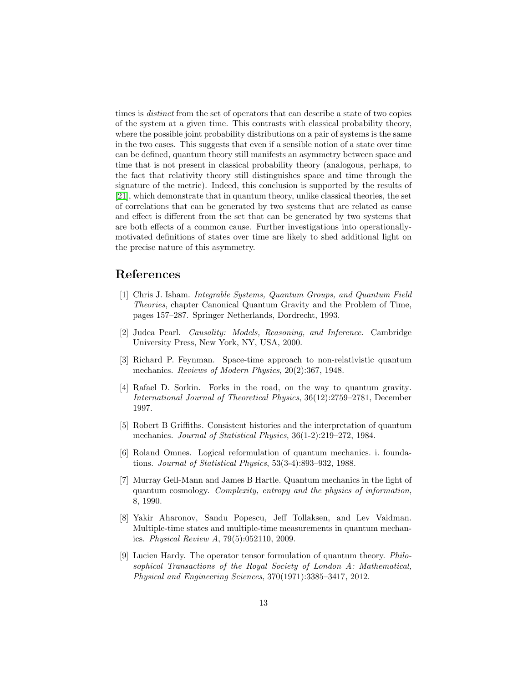times is distinct from the set of operators that can describe a state of two copies of the system at a given time. This contrasts with classical probability theory, where the possible joint probability distributions on a pair of systems is the same in the two cases. This suggests that even if a sensible notion of a state over time can be defined, quantum theory still manifests an asymmetry between space and time that is not present in classical probability theory (analogous, perhaps, to the fact that relativity theory still distinguishes space and time through the signature of the metric). Indeed, this conclusion is supported by the results of [\[21\]](#page-13-11), which demonstrate that in quantum theory, unlike classical theories, the set of correlations that can be generated by two systems that are related as cause and effect is different from the set that can be generated by two systems that are both effects of a common cause. Further investigations into operationallymotivated definitions of states over time are likely to shed additional light on the precise nature of this asymmetry.

# References

- <span id="page-12-0"></span>[1] Chris J. Isham. Integrable Systems, Quantum Groups, and Quantum Field Theories, chapter Canonical Quantum Gravity and the Problem of Time, pages 157–287. Springer Netherlands, Dordrecht, 1993.
- <span id="page-12-1"></span>[2] Judea Pearl. Causality: Models, Reasoning, and Inference. Cambridge University Press, New York, NY, USA, 2000.
- <span id="page-12-2"></span>[3] Richard P. Feynman. Space-time approach to non-relativistic quantum mechanics. Reviews of Modern Physics, 20(2):367, 1948.
- <span id="page-12-3"></span>[4] Rafael D. Sorkin. Forks in the road, on the way to quantum gravity. International Journal of Theoretical Physics, 36(12):2759–2781, December 1997.
- <span id="page-12-4"></span>[5] Robert B Griffiths. Consistent histories and the interpretation of quantum mechanics. Journal of Statistical Physics, 36(1-2):219–272, 1984.
- <span id="page-12-5"></span>[6] Roland Omnes. Logical reformulation of quantum mechanics. i. foundations. Journal of Statistical Physics, 53(3-4):893–932, 1988.
- <span id="page-12-6"></span>[7] Murray Gell-Mann and James B Hartle. Quantum mechanics in the light of quantum cosmology. Complexity, entropy and the physics of information, 8, 1990.
- <span id="page-12-7"></span>[8] Yakir Aharonov, Sandu Popescu, Jeff Tollaksen, and Lev Vaidman. Multiple-time states and multiple-time measurements in quantum mechanics. Physical Review A, 79(5):052110, 2009.
- <span id="page-12-8"></span>[9] Lucien Hardy. The operator tensor formulation of quantum theory. Philosophical Transactions of the Royal Society of London A: Mathematical, Physical and Engineering Sciences, 370(1971):3385–3417, 2012.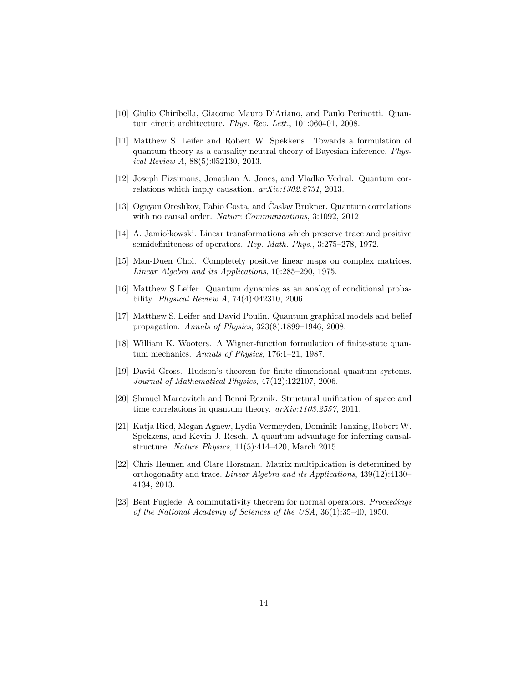- <span id="page-13-0"></span>[10] Giulio Chiribella, Giacomo Mauro D'Ariano, and Paulo Perinotti. Quantum circuit architecture. Phys. Rev. Lett., 101:060401, 2008.
- <span id="page-13-1"></span>[11] Matthew S. Leifer and Robert W. Spekkens. Towards a formulation of quantum theory as a causality neutral theory of Bayesian inference. Physical Review A, 88(5):052130, 2013.
- <span id="page-13-2"></span>[12] Joseph Fizsimons, Jonathan A. Jones, and Vladko Vedral. Quantum correlations which imply causation. arXiv:1302.2731, 2013.
- <span id="page-13-3"></span>[13] Ognyan Oreshkov, Fabio Costa, and Časlav Brukner. Quantum correlations with no causal order. Nature Communications, 3:1092, 2012.
- <span id="page-13-4"></span>[14] A. Jamio kowski. Linear transformations which preserve trace and positive semidefiniteness of operators. Rep. Math. Phys., 3:275–278, 1972.
- <span id="page-13-5"></span>[15] Man-Duen Choi. Completely positive linear maps on complex matrices. Linear Algebra and its Applications, 10:285–290, 1975.
- <span id="page-13-6"></span>[16] Matthew S Leifer. Quantum dynamics as an analog of conditional probability. Physical Review A, 74(4):042310, 2006.
- <span id="page-13-7"></span>[17] Matthew S. Leifer and David Poulin. Quantum graphical models and belief propagation. Annals of Physics, 323(8):1899–1946, 2008.
- <span id="page-13-8"></span>[18] William K. Wooters. A Wigner-function formulation of finite-state quantum mechanics. Annals of Physics, 176:1–21, 1987.
- <span id="page-13-9"></span>[19] David Gross. Hudson's theorem for finite-dimensional quantum systems. Journal of Mathematical Physics, 47(12):122107, 2006.
- <span id="page-13-10"></span>[20] Shmuel Marcovitch and Benni Reznik. Structural unification of space and time correlations in quantum theory.  $arXiv:1103.2557$ , 2011.
- <span id="page-13-11"></span>[21] Katja Ried, Megan Agnew, Lydia Vermeyden, Dominik Janzing, Robert W. Spekkens, and Kevin J. Resch. A quantum advantage for inferring causalstructure. Nature Physics, 11(5):414–420, March 2015.
- <span id="page-13-12"></span>[22] Chris Heunen and Clare Horsman. Matrix multiplication is determined by orthogonality and trace. Linear Algebra and its Applications, 439(12):4130– 4134, 2013.
- <span id="page-13-13"></span>[23] Bent Fuglede. A commutativity theorem for normal operators. Proceedings of the National Academy of Sciences of the USA, 36(1):35–40, 1950.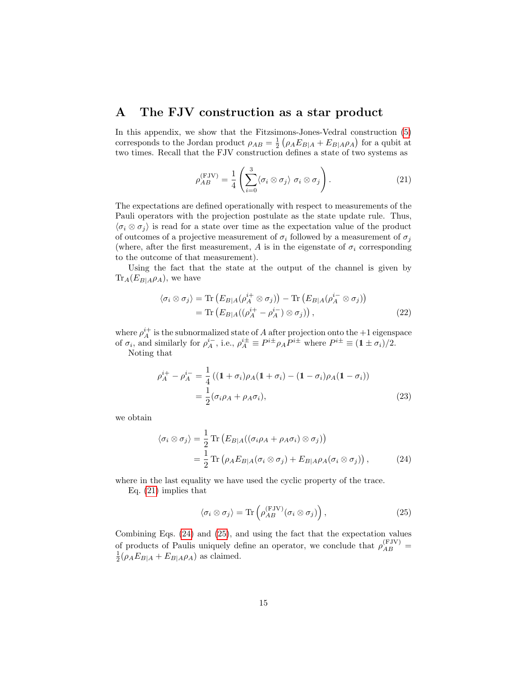### <span id="page-14-0"></span>A The FJV construction as a star product

In this appendix, we show that the Fitzsimons-Jones-Vedral construction [\(5\)](#page-4-1) corresponds to the Jordan product  $\rho_{AB} = \frac{1}{2} \left( \rho_A E_{B|A} + E_{B|A} \rho_A \right)$  for a qubit at two times. Recall that the FJV construction defines a state of two systems as

<span id="page-14-1"></span>
$$
\rho_{AB}^{(\text{FJV})} = \frac{1}{4} \left( \sum_{i=0}^{3} \langle \sigma_i \otimes \sigma_j \rangle \ \sigma_i \otimes \sigma_j \right). \tag{21}
$$

The expectations are defined operationally with respect to measurements of the Pauli operators with the projection postulate as the state update rule. Thus,  $\langle \sigma_i \otimes \sigma_j \rangle$  is read for a state over time as the expectation value of the product of outcomes of a projective measurement of  $\sigma_i$  followed by a measurement of  $\sigma_j$ (where, after the first measurement, A is in the eigenstate of  $\sigma_i$  corresponding to the outcome of that measurement).

Using the fact that the state at the output of the channel is given by  $\text{Tr}_A(E_{B|A}\rho_A)$ , we have

$$
\langle \sigma_i \otimes \sigma_j \rangle = \text{Tr} \left( E_{B|A} (\rho_A^{i+} \otimes \sigma_j) \right) - \text{Tr} \left( E_{B|A} (\rho_A^{i-} \otimes \sigma_j) \right)
$$
  
= 
$$
\text{Tr} \left( E_{B|A} ((\rho_A^{i+} - \rho_A^{i-}) \otimes \sigma_j) \right), \tag{22}
$$

where  $\rho_A^{i+}$  is the subnormalized state of A after projection onto the +1 eigenspace of  $\sigma_i$ , and similarly for  $\rho_A^{i-}$ , i.e.,  $\rho_A^{i\pm} \equiv P^{i\pm} \rho_A P^{i\pm}$  where  $P^{i\pm} \equiv (1 \pm \sigma_i)/2$ .

Noting that

$$
\rho_A^{i+} - \rho_A^{i-} = \frac{1}{4} ((1 + \sigma_i)\rho_A(1 + \sigma_i) - (1 - \sigma_i)\rho_A(1 - \sigma_i))
$$
  
= 
$$
\frac{1}{2} (\sigma_i \rho_A + \rho_A \sigma_i),
$$
 (23)

we obtain

$$
\langle \sigma_i \otimes \sigma_j \rangle = \frac{1}{2} \operatorname{Tr} \left( E_{B|A} ((\sigma_i \rho_A + \rho_A \sigma_i) \otimes \sigma_j) \right)
$$
  

$$
= \frac{1}{2} \operatorname{Tr} \left( \rho_A E_{B|A} (\sigma_i \otimes \sigma_j) + E_{B|A} \rho_A (\sigma_i \otimes \sigma_j) \right), \tag{24}
$$

where in the last equality we have used the cyclic property of the trace.

Eq. [\(21\)](#page-14-1) implies that

<span id="page-14-3"></span><span id="page-14-2"></span>
$$
\langle \sigma_i \otimes \sigma_j \rangle = \text{Tr}\left(\rho_{AB}^{(\text{FJV})}(\sigma_i \otimes \sigma_j)\right),\tag{25}
$$

Combining Eqs. [\(24\)](#page-14-2) and [\(25\)](#page-14-3), and using the fact that the expectation values of products of Paulis uniquely define an operator, we conclude that  $\rho_{AB}^{(FJV)}$  =  $\frac{1}{2}(\rho_A E_{B|A} + E_{B|A}\rho_A)$  as claimed.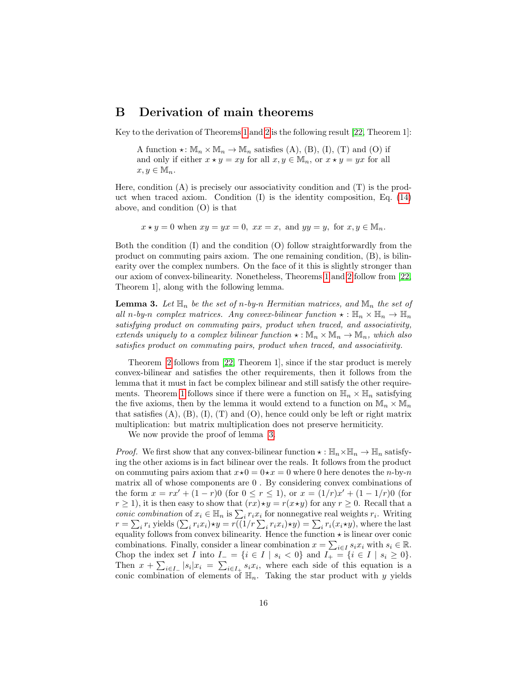# <span id="page-15-0"></span>B Derivation of main theorems

Key to the derivation of Theorems [1](#page-10-0) and [2](#page-10-1) is the following result [\[22,](#page-13-12) Theorem 1]:

A function  $\star: \mathbb{M}_n \times \mathbb{M}_n \to \mathbb{M}_n$  satisfies (A), (B), (I), (T) and (O) if and only if either  $x \star y = xy$  for all  $x, y \in M_n$ , or  $x \star y = yx$  for all  $x, y \in \mathbb{M}_n$ .

Here, condition  $(A)$  is precisely our associativity condition and  $(T)$  is the product when traced axiom. Condition (I) is the identity composition, Eq. [\(14\)](#page-6-0) above, and condition (O) is that

 $x \star y = 0$  when  $xy = yx = 0$ ,  $xx = x$ , and  $yy = y$ , for  $x, y \in M_n$ .

Both the condition (I) and the condition (O) follow straightforwardly from the product on commuting pairs axiom. The one remaining condition, (B), is bilinearity over the complex numbers. On the face of it this is slightly stronger than our axiom of convex-bilinearity. Nonetheless, Theorems [1](#page-10-0) and [2](#page-10-1) follow from [\[22,](#page-13-12) Theorem 1], along with the following lemma.

<span id="page-15-1"></span>**Lemma 3.** Let  $\mathbb{H}_n$  be the set of n-by-n Hermitian matrices, and  $\mathbb{M}_n$  the set of all n-by-n complex matrices. Any convex-bilinear function  $\star : \mathbb{H}_n \times \mathbb{H}_n \to \mathbb{H}_n$ satisfying product on commuting pairs, product when traced, and associativity, extends uniquely to a complex bilinear function  $\star : \mathbb{M}_n \times \mathbb{M}_n \to \mathbb{M}_n$ , which also satisfies product on commuting pairs, product when traced, and associativity.

Theorem [2](#page-10-1) follows from [\[22,](#page-13-12) Theorem 1], since if the star product is merely convex-bilinear and satisfies the other requirements, then it follows from the lemma that it must in fact be complex bilinear and still satisfy the other require-ments. Theorem [1](#page-10-0) follows since if there were a function on  $\mathbb{H}_n \times \mathbb{H}_n$  satisfying the five axioms, then by the lemma it would extend to a function on  $\mathbb{M}_n \times \mathbb{M}_n$ that satisfies  $(A)$ ,  $(B)$ ,  $(I)$ ,  $(T)$  and  $(O)$ , hence could only be left or right matrix multiplication: but matrix multiplication does not preserve hermiticity.

We now provide the proof of lemma [3.](#page-15-1)

*Proof.* We first show that any convex-bilinear function  $\star : \mathbb{H}_n \times \mathbb{H}_n \to \mathbb{H}_n$  satisfying the other axioms is in fact bilinear over the reals. It follows from the product on commuting pairs axiom that  $x\star 0 = 0\star x = 0$  where 0 here denotes the n-by-n matrix all of whose components are 0 . By considering convex combinations of the form  $x = rx' + (1 - r)0$  (for  $0 \le r \le 1$ ), or  $x = (1/r)x' + (1 - 1/r)0$  (for  $r \ge 1$ , it is then easy to show that  $(rx) \star y = r(x \star y)$  for any  $r \ge 0$ . Recall that a conic combination of  $x_i \in \mathbb{H}_n$  is  $\sum_i r_i x_i$  for nonnegative real weights  $r_i$ . Writing  $r = \sum_i r_i$  yields  $(\sum_i r_i x_i) \star y = r((1/r \sum_i r_i x_i) \star y) = \sum_i r_i(x_i \star y)$ , where the last equality follows from convex bilinearity. Hence the function  $\star$  is linear over conic combinations. Finally, consider a linear combination  $x = \sum_{i \in I} s_i x_i$  with  $s_i \in \mathbb{R}$ . Chop the index set I into  $I_-=\{i\in I\mid s_i<0\}$  and  $I_+=\{i\in I\mid s_i\geq 0\}.$ Then  $x + \sum_{i \in I_{-}} |s_i|x_i| = \sum_{i \in I_{+}} s_i x_i$ , where each side of this equation is a conic combination of elements of  $\mathbb{H}_n$ . Taking the star product with y yields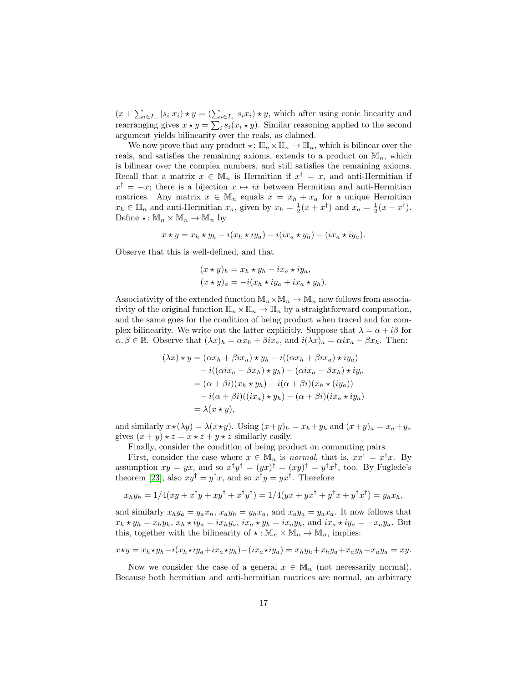$(x + \sum_{i \in I_-} |s_i|x_i) \star y = (\sum_{i \in I_+} s_i x_i) \star y$ , which after using conic linearity and rearranging gives  $x \star y = \sum_i s_i(x_i \star y)$ . Similar reasoning applied to the second argument yields bilinearity over the reals, as claimed.

We now prove that any product  $\star: \mathbb{H}_n \times \mathbb{H}_n \to \mathbb{H}_n$ , which is bilinear over the reals, and satisfies the remaining axioms, extends to a product on  $\mathbb{M}_n$ , which is bilinear over the complex numbers, and still satisfies the remaining axioms. Recall that a matrix  $x \in \mathbb{M}_n$  is Hermitian if  $x^{\dagger} = x$ , and anti-Hermitian if  $x^{\dagger} = -x$ ; there is a bijection  $x \mapsto ix$  between Hermitian and anti-Hermitian matrices. Any matrix  $x \in M_n$  equals  $x = x_h + x_a$  for a unique Hermitian  $x_h \in \mathbb{H}_n$  and anti-Hermitian  $x_a$ , given by  $x_h = \frac{1}{2}(x + x^{\dagger})$  and  $x_a = \frac{1}{2}(x - x^{\dagger})$ . Define  $\star: \mathbb{M}_n \times \mathbb{M}_n \to \mathbb{M}_n$  by

$$
x \star y = x_h \star y_h - i(x_h \star iy_a) - i(ix_a \star y_h) - (ix_a \star iy_a).
$$

Observe that this is well-defined, and that

$$
(x \star y)_h = x_h \star y_h - ix_a \star iy_a,
$$
  
\n
$$
(x \star y)_a = -i(x_h \star iy_a + ix_a \star y_h).
$$

Associativity of the extended function  $\mathbb{M}_n\times\mathbb{M}_n\to\mathbb{M}_n$  now follows from associativity of the original function  $\mathbb{H}_n \times \mathbb{H}_n \to \mathbb{H}_n$  by a straightforward computation, and the same goes for the condition of being product when traced and for complex bilinearity. We write out the latter explicitly. Suppose that  $\lambda = \alpha + i\beta$  for  $\alpha, \beta \in \mathbb{R}$ . Observe that  $(\lambda x)_h = \alpha x_h + \beta i x_a$ , and  $i(\lambda x)_a = \alpha i x_a - \beta x_h$ . Then:

$$
(\lambda x) \star y = (\alpha x_h + \beta i x_a) \star y_h - i((\alpha x_h + \beta i x_a) \star i y_a)
$$
  
\n
$$
- i((\alpha i x_a - \beta x_h) \star y_h) - (\alpha i x_a - \beta x_h) \star i y_a
$$
  
\n
$$
= (\alpha + \beta i)(x_h \star y_h) - i(\alpha + \beta i)(x_h \star (i y_a))
$$
  
\n
$$
- i(\alpha + \beta i)((i x_a) \star y_h) - (\alpha + \beta i)(i x_a \star i y_a)
$$
  
\n
$$
= \lambda (x \star y),
$$

and similarly  $x \star (\lambda y) = \lambda (x \star y)$ . Using  $(x+y)_h = x_h + y_h$  and  $(x+y)_a = x_a + y_a$ gives  $(x + y) \star z = x \star z + y \star z$  similarly easily.

Finally, consider the condition of being product on commuting pairs.

First, consider the case where  $x \in M_n$  is normal, that is,  $xx^{\dagger} = x^{\dagger}x$ . By assumption  $xy = yx$ , and so  $x^{\dagger}y^{\dagger} = (yx)^{\dagger} = (xy)^{\dagger} = y^{\dagger}x^{\dagger}$ , too. By Fuglede's theorem [\[23\]](#page-13-13), also  $xy^{\dagger} = y^{\dagger}x$ , and so  $x^{\dagger}y = yx^{\dagger}$ . Therefore

$$
x_h y_h = 1/4(xy + x^{\dagger}y + xy^{\dagger} + x^{\dagger}y^{\dagger}) = 1/4(yx + yx^{\dagger} + y^{\dagger}x + y^{\dagger}x^{\dagger}) = y_h x_h,
$$

and similarly  $x_h y_a = y_a x_h$ ,  $x_a y_h = y_h x_a$ , and  $x_a y_a = y_a x_a$ . It now follows that  $x_h \star y_h = x_h y_h$ ,  $x_h \star iy_a = ix_h y_a$ ,  $ix_a \star y_h = ix_a y_h$ , and  $ix_a \star iy_a = -x_a y_a$ . But this, together with the bilinearity of  $\star : \mathbb{M}_n \times \mathbb{M}_n \to \mathbb{M}_n$ , implies:

$$
x \star y = x_h \star y_h - i(x_h \star iy_a + ix_a \star y_h) - (ix_a \star iy_a) = x_h y_h + x_h y_a + x_a y_h + x_a y_a = xy.
$$

Now we consider the case of a general  $x \in \mathbb{M}_n$  (not necessarily normal). Because both hermitian and anti-hermitian matrices are normal, an arbitrary